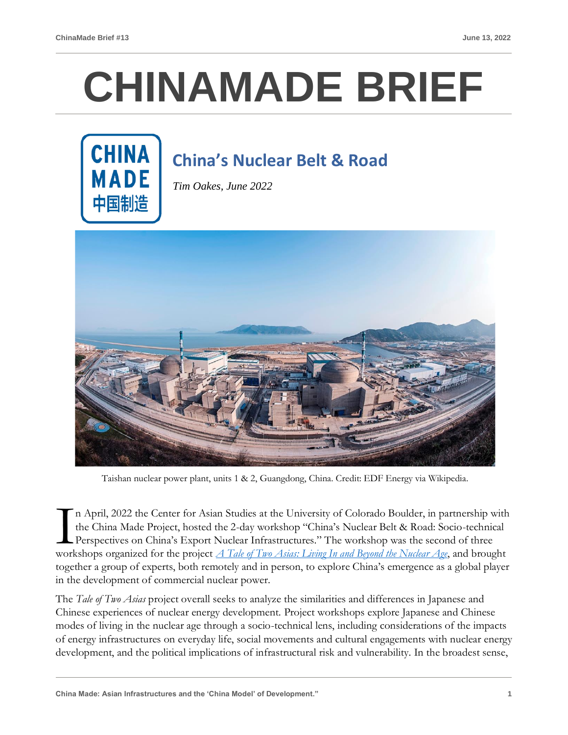## **CHINAMADE BRIEF**



## **China's Nuclear Belt & Road**

*Tim Oakes, June 2022*



Taishan nuclear power plant, units 1 & 2, Guangdong, China. Credit: EDF Energy via Wikipedia.

n April, 2022 the Center for Asian Studies at the University of Colorado Boulder, in partnership with the China Made Project, hosted the 2-day workshop "China's Nuclear Belt & Road: Socio-technical Perspectives on China's Export Nuclear Infrastructures." The workshop was the second of three In April, 2022 the Center for Asian Studies at the University of Colorado Boulder, in partnership with the China Made Project, hosted the 2-day workshop "China's Nuclear Belt & Road: Socio-technical Perspectives on China's together a group of experts, both remotely and in person, to explore China's emergence as a global player in the development of commercial nuclear power.

The *Tale of Two Asias* project overall seeks to analyze the similarities and differences in Japanese and Chinese experiences of nuclear energy development. Project workshops explore Japanese and Chinese modes of living in the nuclear age through a socio-technical lens, including considerations of the impacts of energy infrastructures on everyday life, social movements and cultural engagements with nuclear energy development, and the political implications of infrastructural risk and vulnerability. In the broadest sense,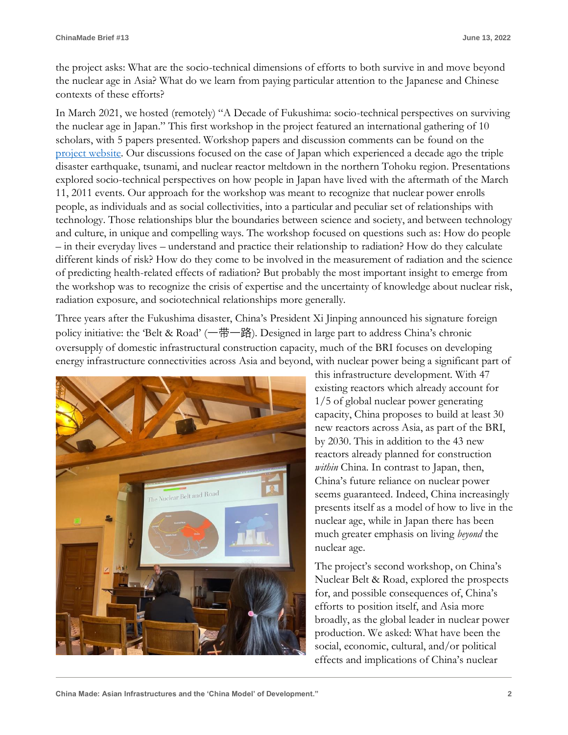the project asks: What are the socio-technical dimensions of efforts to both survive in and move beyond the nuclear age in Asia? What do we learn from paying particular attention to the Japanese and Chinese contexts of these efforts?

In March 2021, we hosted (remotely) "A Decade of Fukushima: socio-technical perspectives on surviving the nuclear age in Japan." This first workshop in the project featured an international gathering of 10 scholars, with 5 papers presented. Workshop papers and discussion comments can be found on the [project website.](https://www.colorado.edu/cas/research-academics/cas-initiatives/tale-two-asias-living-and-beyond-nuclear-age) Our discussions focused on the case of Japan which experienced a decade ago the triple disaster earthquake, tsunami, and nuclear reactor meltdown in the northern Tohoku region. Presentations explored socio-technical perspectives on how people in Japan have lived with the aftermath of the March 11, 2011 events. Our approach for the workshop was meant to recognize that nuclear power enrolls people, as individuals and as social collectivities, into a particular and peculiar set of relationships with technology. Those relationships blur the boundaries between science and society, and between technology and culture, in unique and compelling ways. The workshop focused on questions such as: How do people – in their everyday lives – understand and practice their relationship to radiation? How do they calculate different kinds of risk? How do they come to be involved in the measurement of radiation and the science of predicting health-related effects of radiation? But probably the most important insight to emerge from the workshop was to recognize the crisis of expertise and the uncertainty of knowledge about nuclear risk, radiation exposure, and sociotechnical relationships more generally.

Three years after the Fukushima disaster, China's President Xi Jinping announced his signature foreign policy initiative: the 'Belt & Road' (一带一路). Designed in large part to address China's chronic oversupply of domestic infrastructural construction capacity, much of the BRI focuses on developing energy infrastructure connectivities across Asia and beyond, with nuclear power being a significant part of



this infrastructure development. With 47 existing reactors which already account for 1/5 of global nuclear power generating capacity, China proposes to build at least 30 new reactors across Asia, as part of the BRI, by 2030. This in addition to the 43 new reactors already planned for construction *within* China. In contrast to Japan, then, China's future reliance on nuclear power seems guaranteed. Indeed, China increasingly presents itself as a model of how to live in the nuclear age, while in Japan there has been much greater emphasis on living *beyond* the nuclear age.

The project's second workshop, on China's Nuclear Belt & Road, explored the prospects for, and possible consequences of, China's efforts to position itself, and Asia more broadly, as the global leader in nuclear power production. We asked: What have been the social, economic, cultural, and/or political effects and implications of China's nuclear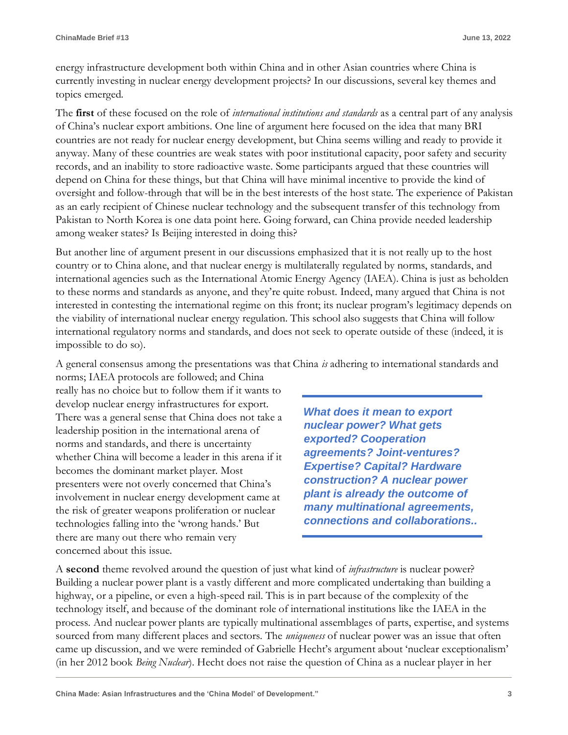energy infrastructure development both within China and in other Asian countries where China is currently investing in nuclear energy development projects? In our discussions, several key themes and topics emerged.

The **first** of these focused on the role of *international institutions and standards* as a central part of any analysis of China's nuclear export ambitions. One line of argument here focused on the idea that many BRI countries are not ready for nuclear energy development, but China seems willing and ready to provide it anyway. Many of these countries are weak states with poor institutional capacity, poor safety and security records, and an inability to store radioactive waste. Some participants argued that these countries will depend on China for these things, but that China will have minimal incentive to provide the kind of oversight and follow-through that will be in the best interests of the host state. The experience of Pakistan as an early recipient of Chinese nuclear technology and the subsequent transfer of this technology from Pakistan to North Korea is one data point here. Going forward, can China provide needed leadership among weaker states? Is Beijing interested in doing this?

But another line of argument present in our discussions emphasized that it is not really up to the host country or to China alone, and that nuclear energy is multilaterally regulated by norms, standards, and international agencies such as the International Atomic Energy Agency (IAEA). China is just as beholden to these norms and standards as anyone, and they're quite robust. Indeed, many argued that China is not interested in contesting the international regime on this front; its nuclear program's legitimacy depends on the viability of international nuclear energy regulation. This school also suggests that China will follow international regulatory norms and standards, and does not seek to operate outside of these (indeed, it is impossible to do so).

A general consensus among the presentations was that China *is* adhering to international standards and

norms; IAEA protocols are followed; and China really has no choice but to follow them if it wants to develop nuclear energy infrastructures for export. There was a general sense that China does not take a leadership position in the international arena of norms and standards, and there is uncertainty whether China will become a leader in this arena if it becomes the dominant market player. Most presenters were not overly concerned that China's involvement in nuclear energy development came at the risk of greater weapons proliferation or nuclear technologies falling into the 'wrong hands.' But there are many out there who remain very concerned about this issue.

*What does it mean to export nuclear power? What gets exported? Cooperation agreements? Joint-ventures? Expertise? Capital? Hardware construction? A nuclear power plant is already the outcome of many multinational agreements, connections and collaborations..*

A **second** theme revolved around the question of just what kind of *infrastructure* is nuclear power? Building a nuclear power plant is a vastly different and more complicated undertaking than building a highway, or a pipeline, or even a high-speed rail. This is in part because of the complexity of the technology itself, and because of the dominant role of international institutions like the IAEA in the process. And nuclear power plants are typically multinational assemblages of parts, expertise, and systems sourced from many different places and sectors. The *uniqueness* of nuclear power was an issue that often came up discussion, and we were reminded of Gabrielle Hecht's argument about 'nuclear exceptionalism' (in her 2012 book *Being Nuclear*). Hecht does not raise the question of China as a nuclear player in her